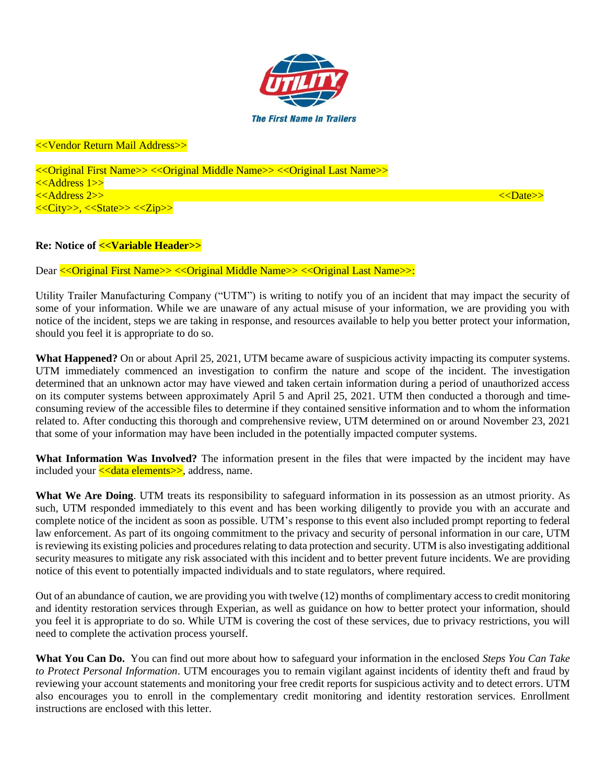

<<Vendor Return Mail Address>>

<<Original First Name>> <<Original Middle Name>> <<Original Last Name>> <<Address 1>> <<Address 2>> <<Date>> <<City>>, <<State>> <<Zip>>

# **Re: Notice of <<Variable Header>>**

Dear <<Original First Name>> <<Original Middle Name>> <<Original Last Name>>:

Utility Trailer Manufacturing Company ("UTM") is writing to notify you of an incident that may impact the security of some of your information. While we are unaware of any actual misuse of your information, we are providing you with notice of the incident, steps we are taking in response, and resources available to help you better protect your information, should you feel it is appropriate to do so.

**What Happened?** On or about April 25, 2021, UTM became aware of suspicious activity impacting its computer systems. UTM immediately commenced an investigation to confirm the nature and scope of the incident. The investigation determined that an unknown actor may have viewed and taken certain information during a period of unauthorized access on its computer systems between approximately April 5 and April 25, 2021. UTM then conducted a thorough and timeconsuming review of the accessible files to determine if they contained sensitive information and to whom the information related to. After conducting this thorough and comprehensive review, UTM determined on or around November 23, 2021 that some of your information may have been included in the potentially impacted computer systems.

**What Information Was Involved?** The information present in the files that were impacted by the incident may have included your  $\leq$  data elements >>, address, name.

**What We Are Doing**. UTM treats its responsibility to safeguard information in its possession as an utmost priority. As such, UTM responded immediately to this event and has been working diligently to provide you with an accurate and complete notice of the incident as soon as possible. UTM's response to this event also included prompt reporting to federal law enforcement. As part of its ongoing commitment to the privacy and security of personal information in our care, UTM isreviewing its existing policies and procedures relating to data protection and security. UTM is also investigating additional security measures to mitigate any risk associated with this incident and to better prevent future incidents. We are providing notice of this event to potentially impacted individuals and to state regulators, where required.

Out of an abundance of caution, we are providing you with twelve (12) months of complimentary access to credit monitoring and identity restoration services through Experian, as well as guidance on how to better protect your information, should you feel it is appropriate to do so. While UTM is covering the cost of these services, due to privacy restrictions, you will need to complete the activation process yourself.

**What You Can Do.** You can find out more about how to safeguard your information in the enclosed *Steps You Can Take to Protect Personal Information*. UTM encourages you to remain vigilant against incidents of identity theft and fraud by reviewing your account statements and monitoring your free credit reports for suspicious activity and to detect errors. UTM also encourages you to enroll in the complementary credit monitoring and identity restoration services. Enrollment instructions are enclosed with this letter.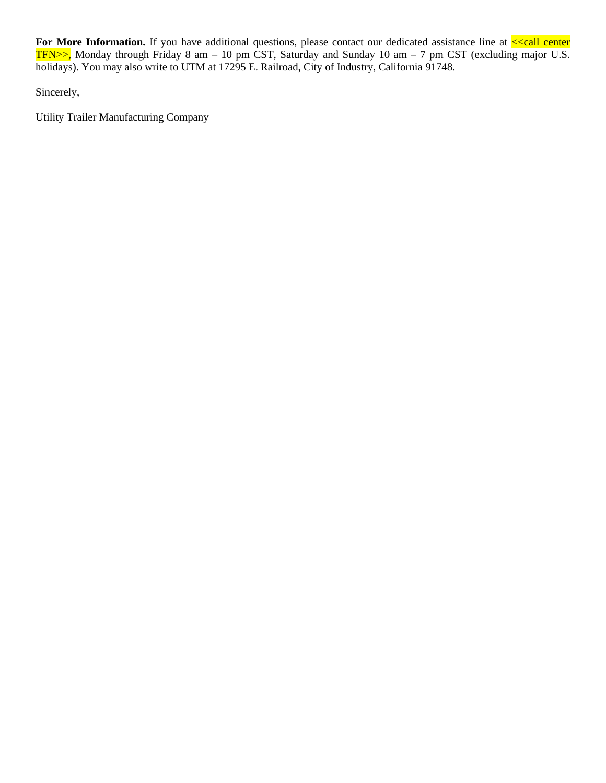For More Information. If you have additional questions, please contact our dedicated assistance line at  $\leq$ call center TFN $\gg$ , Monday through Friday 8 am – 10 pm CST, Saturday and Sunday 10 am – 7 pm CST (excluding major U.S. holidays). You may also write to UTM at 17295 E. Railroad, City of Industry, California 91748.

Sincerely,

Utility Trailer Manufacturing Company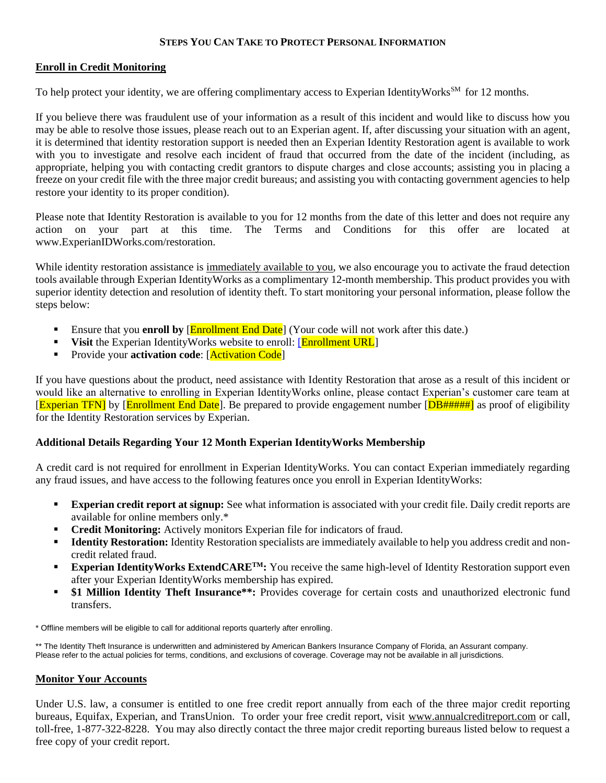# **STEPS YOU CAN TAKE TO PROTECT PERSONAL INFORMATION**

### **Enroll in Credit Monitoring**

To help protect your identity, we are offering complimentary access to Experian IdentityWorks<sup>SM</sup> for 12 months.

If you believe there was fraudulent use of your information as a result of this incident and would like to discuss how you may be able to resolve those issues, please reach out to an Experian agent. If, after discussing your situation with an agent, it is determined that identity restoration support is needed then an Experian Identity Restoration agent is available to work with you to investigate and resolve each incident of fraud that occurred from the date of the incident (including, as appropriate, helping you with contacting credit grantors to dispute charges and close accounts; assisting you in placing a freeze on your credit file with the three major credit bureaus; and assisting you with contacting government agencies to help restore your identity to its proper condition).

Please note that Identity Restoration is available to you for 12 months from the date of this letter and does not require any action on your part at this time. The Terms and Conditions for this offer are located at www.ExperianIDWorks.com/restoration.

While identity restoration assistance is immediately available to you, we also encourage you to activate the fraud detection tools available through Experian IdentityWorks as a complimentary 12-month membership. This product provides you with superior identity detection and resolution of identity theft. To start monitoring your personal information, please follow the steps below:

- Ensure that you **enroll by** [**Enrollment End Date**] (Your code will not work after this date.)
- **Visit** the Experian IdentityWorks website to enroll: [**Enrollment URL**]
- Provide your **activation code**: [Activation Code]

If you have questions about the product, need assistance with Identity Restoration that arose as a result of this incident or would like an alternative to enrolling in Experian IdentityWorks online, please contact Experian's customer care team at **[Experian TFN]** by **[Enrollment End Date**]. Be prepared to provide engagement number **[DB#####]** as proof of eligibility for the Identity Restoration services by Experian.

### **Additional Details Regarding Your 12 Month Experian IdentityWorks Membership**

A credit card is not required for enrollment in Experian IdentityWorks. You can contact Experian immediately regarding any fraud issues, and have access to the following features once you enroll in Experian IdentityWorks:

- **Experian credit report at signup:** See what information is associated with your credit file. Daily credit reports are available for online members only.\*
- **Credit Monitoring:** Actively monitors Experian file for indicators of fraud.
- **Identity Restoration:** Identity Restoration specialists are immediately available to help you address credit and noncredit related fraud.
- **Experian IdentityWorks ExtendCARE<sup>TM</sup>:** You receive the same high-level of Identity Restoration support even after your Experian IdentityWorks membership has expired.
- \$1 Million Identity Theft Insurance\*\*: Provides coverage for certain costs and unauthorized electronic fund transfers.

\* Offline members will be eligible to call for additional reports quarterly after enrolling.

\*\* The Identity Theft Insurance is underwritten and administered by American Bankers Insurance Company of Florida, an Assurant company. Please refer to the actual policies for terms, conditions, and exclusions of coverage. Coverage may not be available in all jurisdictions.

### **Monitor Your Accounts**

Under U.S. law, a consumer is entitled to one free credit report annually from each of the three major credit reporting bureaus, Equifax, Experian, and TransUnion. To order your free credit report, visit www.annualcreditreport.com or call, toll-free, 1-877-322-8228. You may also directly contact the three major credit reporting bureaus listed below to request a free copy of your credit report.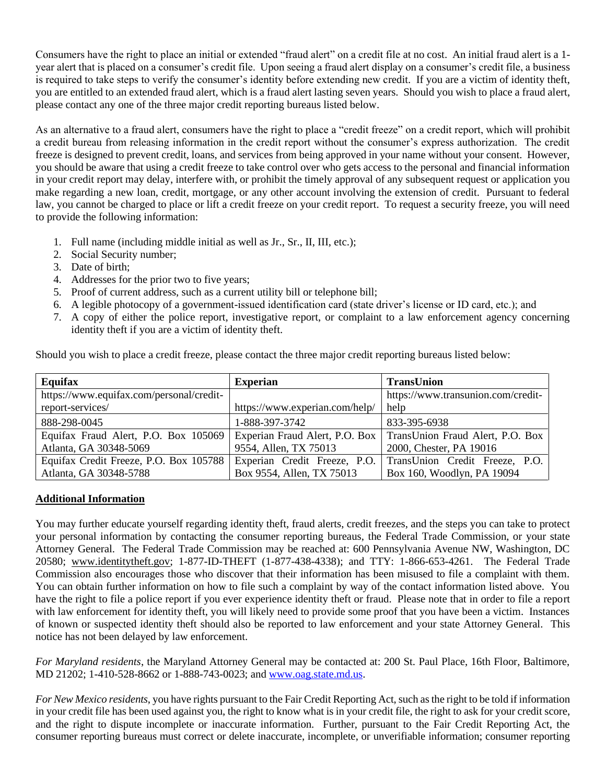Consumers have the right to place an initial or extended "fraud alert" on a credit file at no cost. An initial fraud alert is a 1 year alert that is placed on a consumer's credit file. Upon seeing a fraud alert display on a consumer's credit file, a business is required to take steps to verify the consumer's identity before extending new credit. If you are a victim of identity theft, you are entitled to an extended fraud alert, which is a fraud alert lasting seven years. Should you wish to place a fraud alert, please contact any one of the three major credit reporting bureaus listed below.

As an alternative to a fraud alert, consumers have the right to place a "credit freeze" on a credit report, which will prohibit a credit bureau from releasing information in the credit report without the consumer's express authorization. The credit freeze is designed to prevent credit, loans, and services from being approved in your name without your consent. However, you should be aware that using a credit freeze to take control over who gets access to the personal and financial information in your credit report may delay, interfere with, or prohibit the timely approval of any subsequent request or application you make regarding a new loan, credit, mortgage, or any other account involving the extension of credit. Pursuant to federal law, you cannot be charged to place or lift a credit freeze on your credit report. To request a security freeze, you will need to provide the following information:

- 1. Full name (including middle initial as well as Jr., Sr., II, III, etc.);
- 2. Social Security number;
- 3. Date of birth;
- 4. Addresses for the prior two to five years;
- 5. Proof of current address, such as a current utility bill or telephone bill;
- 6. A legible photocopy of a government-issued identification card (state driver's license or ID card, etc.); and
- 7. A copy of either the police report, investigative report, or complaint to a law enforcement agency concerning identity theft if you are a victim of identity theft.

Should you wish to place a credit freeze, please contact the three major credit reporting bureaus listed below:

| Equifax                                  | <b>Experian</b>                | <b>TransUnion</b>                  |
|------------------------------------------|--------------------------------|------------------------------------|
| https://www.equifax.com/personal/credit- |                                | https://www.transunion.com/credit- |
| report-services/                         | https://www.experian.com/help/ | help                               |
| 888-298-0045                             | 1-888-397-3742                 | 833-395-6938                       |
| Equifax Fraud Alert, P.O. Box 105069     | Experian Fraud Alert, P.O. Box | TransUnion Fraud Alert, P.O. Box   |
| Atlanta, GA 30348-5069                   | 9554, Allen, TX 75013          | 2000, Chester, PA 19016            |
| Equifax Credit Freeze, P.O. Box 105788   | Experian Credit Freeze, P.O.   | TransUnion Credit Freeze, P.O.     |
| Atlanta, GA 30348-5788                   | Box 9554, Allen, TX 75013      | Box 160, Woodlyn, PA 19094         |

### **Additional Information**

You may further educate yourself regarding identity theft, fraud alerts, credit freezes, and the steps you can take to protect your personal information by contacting the consumer reporting bureaus, the Federal Trade Commission, or your state Attorney General.The Federal Trade Commission may be reached at: 600 Pennsylvania Avenue NW, Washington, DC 20580; www.identitytheft.gov; 1-877-ID-THEFT (1-877-438-4338); and TTY: 1-866-653-4261. The Federal Trade Commission also encourages those who discover that their information has been misused to file a complaint with them. You can obtain further information on how to file such a complaint by way of the contact information listed above. You have the right to file a police report if you ever experience identity theft or fraud. Please note that in order to file a report with law enforcement for identity theft, you will likely need to provide some proof that you have been a victim. Instances of known or suspected identity theft should also be reported to law enforcement and your state Attorney General. This notice has not been delayed by law enforcement.

*For Maryland residents*, the Maryland Attorney General may be contacted at: 200 St. Paul Place, 16th Floor, Baltimore, MD 21202; 1-410-528-8662 or 1-888-743-0023; and [www.oag.state.md.us.](http://www.oag.state.md.us/)

*For New Mexico residents*, you have rights pursuant to the Fair Credit Reporting Act, such as the right to be told if information in your credit file has been used against you, the right to know what is in your credit file, the right to ask for your credit score, and the right to dispute incomplete or inaccurate information. Further, pursuant to the Fair Credit Reporting Act, the consumer reporting bureaus must correct or delete inaccurate, incomplete, or unverifiable information; consumer reporting